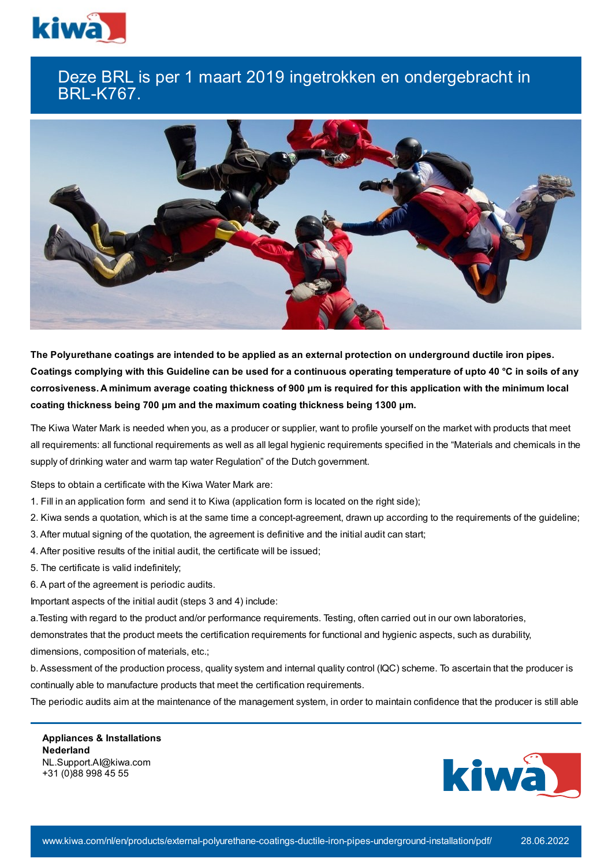

## Deze BRL is per 1 maart 2019 ingetrokken en ondergebracht in BRL-K767.



The Polyurethane coatings are intended to be applied as an external protection on underground ductile iron pipes. Coatings complying with this Guideline can be used for a continuous operating temperature of upto 40 °C in soils of any corrosiveness. A minimum average coating thickness of 900 µm is required for this application with the minimum local **coating thickness being 700 μm and the maximum coating thickness being 1300 μm.**

The Kiwa Water Mark is needed when you, as a producer or supplier, want to profile yourself on the market with products that meet all requirements: all functional requirements as well as all legal hygienic requirements specified in the "Materials and chemicals in the supply of drinking water and warm tap water Regulation" of the Dutch government.

Steps to obtain a certificate with the Kiwa Water Mark are:

- 1. Fill in an application form and send it to Kiwa (application form is located on the right side);
- 2. Kiwa sends a quotation, which is at the same time a concept-agreement, drawn up according to the requirements of the guideline;
- 3. After mutual signing of the quotation, the agreement is definitive and the initial audit can start;
- 4. After positive results of the initial audit, the certificate will be issued;
- 5. The certificate is valid indefinitely;
- 6. A part of the agreement is periodic audits.

Important aspects of the initial audit (steps 3 and 4) include:

a.Testing with regard to the product and/or performance requirements. Testing, often carried out in our own laboratories,

demonstrates that the product meets the certification requirements for functional and hygienic aspects, such as durability,

dimensions, composition of materials, etc.;

b. Assessment of the production process, quality system and internal quality control (IQC) scheme. To ascertain that the producer is continually able to manufacture products that meet the certification requirements.

The periodic audits aim at the maintenance of the management system, in order to maintain confidence that the producer is still able

**Appliances & Installations Nederland** NL.Support.AI@kiwa.com +31 (0)88 998 45 55